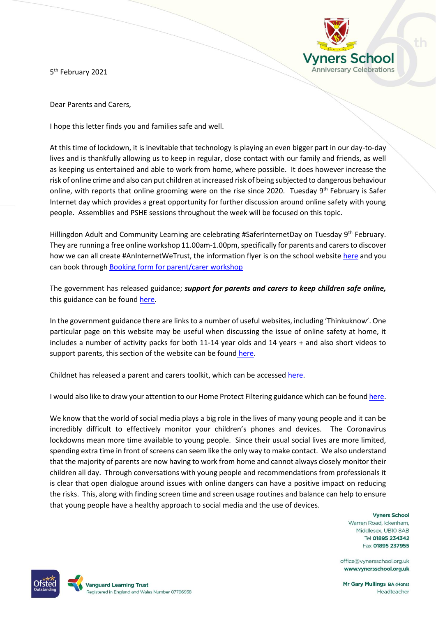5<sup>th</sup> February 2021



Dear Parents and Carers,

I hope this letter finds you and families safe and well.

At this time of lockdown, it is inevitable that technology is playing an even bigger part in our day-to-day lives and is thankfully allowing us to keep in regular, close contact with our family and friends, as well as keeping us entertained and able to work from home, where possible. It does however increase the risk of online crime and also can put children at increased risk of being subjected to dangerous behaviour online, with reports that online grooming were on the rise since 2020. Tuesday  $9<sup>th</sup>$  February is Safer Internet day which provides a great opportunity for further discussion around online safety with young people. Assemblies and PSHE sessions throughout the week will be focused on this topic.

Hillingdon Adult and Community Learning are celebrating #SaferInternetDay on Tuesday 9<sup>th</sup> February. They are running a free online workshop 11.00am-1.00pm, specifically for parents and carers to discover how we can all create #AnInternetWeTrust, the information flyer is on the school websit[e here](https://www.vynersschool.org.uk/attachments/download.asp?file=3425&type=pdf) and you can book through [Booking form for parent/carer workshop](https://forms.office.com/Pages/ResponsePage.aspx?id=ebasqoHD-0izIPnVge6Uj7eSU2MOINlNkNodmHkHIp1UN1kxN1REWlFWNjYzU1pIQTEwVTZFRVpSMC4u)

The government has released guidance; *support for parents and carers to keep children safe online,* this guidance can be foun[d here.](https://www.gov.uk/government/publications/coronavirus-covid-19-keeping-children-safe-online/coronavirus-covid-19-support-for-parents-and-carers-to-keep-children-safe-online?priority-taxon=b350e61d-1db9-4cc2-bb44-fab02882ac25)

In the government guidance there are links to a number of useful websites, including 'Thinkuknow'. One particular page on this website may be useful when discussing the issue of online safety at home, it includes a number of activity packs for both 11-14 year olds and 14 years + and also short videos to support parents, this section of the website can be found [here.](https://www.thinkuknow.co.uk/parents/Support-tools/home-activity-worksheets/?utm_source=Thinkuknow&utm_campaign=c96a649dde-TUK_GLOBAL_12_11_20&utm_medium=email&utm_term=0_0b54505554-c96a649dde-64910358)

Childnet has released a parent and carers toolkit, which can be accessed [here.](https://www.childnet.com/parents-and-carers/parent-and-carer-toolkit)

I would also like to draw your attention to our Home Protect Filtering guidance which can be foun[d here.](https://www.vynersschool.org.uk/attachments/download.asp?file=3428&type=pdf)

We know that the world of social media plays a big role in the lives of many young people and it can be incredibly difficult to effectively monitor your children's phones and devices. The Coronavirus lockdowns mean more time available to young people. Since their usual social lives are more limited, spending extra time in front of screens can seem like the only way to make contact. We also understand that the majority of parents are now having to work from home and cannot always closely monitor their children all day. Through conversations with young people and recommendations from professionals it is clear that open dialogue around issues with online dangers can have a positive impact on reducing the risks. This, along with finding screen time and screen usage routines and balance can help to ensure that young people have a healthy approach to social media and the use of devices.

> **Vyners School** Warren Road, Ickenham. Middlesex, UB10 8AB Tel 01895 234342 Fax 01895 237955

office@vynersschool.org.uk www.vynersschool.org.uk

Mr Gary Mullings BA (Hons) Headteacher

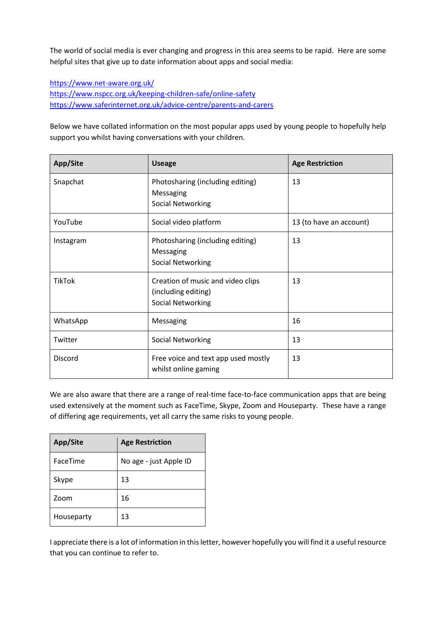The world of social media is ever changing and progress in this area seems to be rapid. Here are some helpful sites that give up to date information about apps and social media:

<https://www.net-aware.org.uk/> <https://www.nspcc.org.uk/keeping-children-safe/online-safety> <https://www.saferinternet.org.uk/advice-centre/parents-and-carers>

Below we have collated information on the most popular apps used by young people to hopefully help support you whilst having conversations with your children.

| App/Site      | <b>Useage</b>                                                                 | <b>Age Restriction</b>  |
|---------------|-------------------------------------------------------------------------------|-------------------------|
| Snapchat      | Photosharing (including editing)<br>Messaging<br><b>Social Networking</b>     | 13                      |
| YouTube       | Social video platform                                                         | 13 (to have an account) |
| Instagram     | Photosharing (including editing)<br>Messaging<br><b>Social Networking</b>     | 13                      |
| <b>TikTok</b> | Creation of music and video clips<br>(including editing)<br>Social Networking | 13                      |
| WhatsApp      | Messaging                                                                     | 16                      |
| Twitter       | <b>Social Networking</b>                                                      | 13                      |
| Discord       | Free voice and text app used mostly<br>whilst online gaming                   | 13                      |

We are also aware that there are a range of real-time face-to-face communication apps that are being used extensively at the moment such as FaceTime, Skype, Zoom and Houseparty. These have a range of differing age requirements, yet all carry the same risks to young people.

| App/Site   | <b>Age Restriction</b> |
|------------|------------------------|
| FaceTime   | No age - just Apple ID |
| Skype      | 13                     |
| Zoom       | 16                     |
| Houseparty | 13                     |

I appreciate there is a lot of information in this letter, however hopefully you will find it a useful resource that you can continue to refer to.